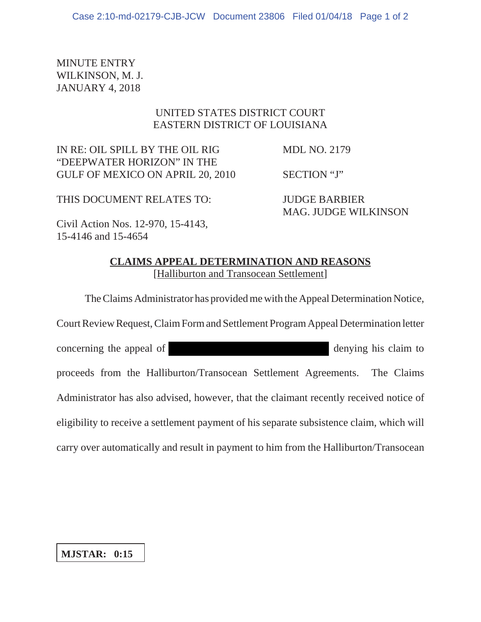MINUTE ENTRY WILKINSON, M. J. JANUARY 4, 2018

## UNITED STATES DISTRICT COURT EASTERN DISTRICT OF LOUISIANA

IN RE: OIL SPILL BY THE OIL RIG MDL NO. 2179 "DEEPWATER HORIZON" IN THE GULF OF MEXICO ON APRIL 20, 2010 SECTION "J"

THIS DOCUMENT RELATES TO: JUDGE BARBIER

MAG. JUDGE WILKINSON

Civil Action Nos. 12-970, 15-4143, 15-4146 and 15-4654

## **CLAIMS APPEAL DETERMINATION AND REASONS** [Halliburton and Transocean Settlement]

The Claims Administrator has provided me with the Appeal Determination Notice,

Court Review Request, Claim Form and Settlement Program Appeal Determination letter concerning the appeal of denying his claim to proceeds from the Halliburton/Transocean Settlement Agreements. The Claims Administrator has also advised, however, that the claimant recently received notice of eligibility to receive a settlement payment of his separate subsistence claim, which will carry over automatically and result in payment to him from the Halliburton/Transocean

## **MJSTAR: 0:15**